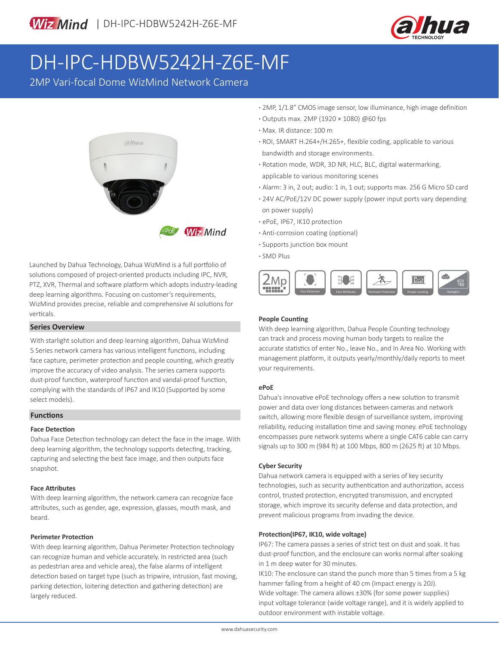

# DH-IPC-HDBW5242H-Z6E-MF

2MP Vari-focal Dome WizMind Network Camera



Launched by Dahua Technology, Dahua WizMind is a full portfolio of solutions composed of project-oriented products including IPC, NVR, PTZ, XVR, Thermal and software platform which adopts industry-leading deep learning algorithms. Focusing on customer's requirements, WizMind provides precise, reliable and comprehensive AI solutions for verticals.

### **Series Overview**

With starlight solution and deep learning algorithm, Dahua WizMind 5 Series network camera has various intelligent functions, including face capture, perimeter protection and people counting, which greatly improve the accuracy of video analysis. The series camera supports dust-proof function, waterproof function and vandal-proof function, complying with the standards of IP67 and IK10 (Supported by some select models).

### **Functions**

### **Face Detection**

Dahua Face Detection technology can detect the face in the image. With deep learning algorithm, the technology supports detecting, tracking, capturing and selecting the best face image, and then outputs face snapshot.

### **Face Attributes**

With deep learning algorithm, the network camera can recognize face attributes, such as gender, age, expression, glasses, mouth mask, and beard.

### **Perimeter Protection**

With deep learning algorithm, Dahua Perimeter Protection technology can recognize human and vehicle accurately. In restricted area (such as pedestrian area and vehicle area), the false alarms of intelligent detection based on target type (such as tripwire, intrusion, fast moving, parking detection, loitering detection and gathering detection) are largely reduced.

- **·** 2MP, 1/1.8" CMOS image sensor, low illuminance, high image definition
- **·** Outputs max. 2MP (1920 × 1080) @60 fps
- **·** Max. IR distance: 100 m
- **·** ROI, SMART H.264+/H.265+, flexible coding, applicable to various bandwidth and storage environments.
- **·** Rotation mode, WDR, 3D NR, HLC, BLC, digital watermarking, applicable to various monitoring scenes
- **·** Alarm: 3 in, 2 out; audio: 1 in, 1 out; supports max. 256 G Micro SD card
- **·** 24V AC/PoE/12V DC power supply (power input ports vary depending on power supply)
- **·** ePoE, IP67, IK10 protection
- **·** Anti-corrosion coating (optional)
- **·** Supports junction box mount
- **·** SMD Plus



### **People Counting**

With deep learning algorithm, Dahua People Counting technology can track and process moving human body targets to realize the accurate statistics of enter No., leave No., and In Area No. Working with management platform, it outputs yearly/monthly/daily reports to meet your requirements.

### **ePoE**

Dahua's innovative ePoE technology offers a new solution to transmit power and data over long distances between cameras and network switch, allowing more flexible design of surveillance system, improving reliability, reducing installation time and saving money. ePoE technology encompasses pure network systems where a single CAT6 cable can carry signals up to 300 m (984 ft) at 100 Mbps, 800 m (2625 ft) at 10 Mbps.

### **Cyber Security**

Dahua network camera is equipped with a series of key security technologies, such as security authentication and authorization, access control, trusted protection, encrypted transmission, and encrypted storage, which improve its security defense and data protection, and prevent malicious programs from invading the device.

### **Protection(IP67, IK10, wide voltage)**

IP67: The camera passes a series of strict test on dust and soak. It has dust-proof function, and the enclosure can works normal after soaking in 1 m deep water for 30 minutes.

IK10: The enclosure can stand the punch more than 5 times from a 5 kg hammer falling from a height of 40 cm (Impact energy is 20J). Wide voltage: The camera allows ±30% (for some power supplies) input voltage tolerance (wide voltage range), and it is widely applied to outdoor environment with instable voltage.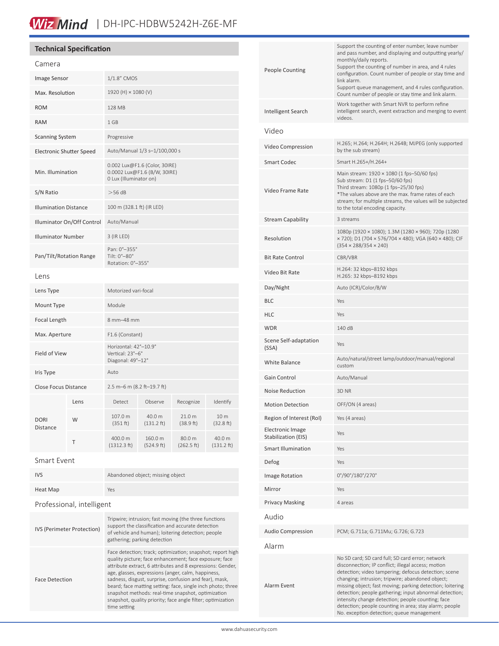### Wiz Mind | DH-IPC-HDBW5242H-Z6E-MF

### **Technical Specification**

| Camera                          |      |                                                                                         |                                |                      |                                |  |
|---------------------------------|------|-----------------------------------------------------------------------------------------|--------------------------------|----------------------|--------------------------------|--|
| Image Sensor                    |      | 1/1.8" CMOS                                                                             |                                |                      |                                |  |
| Max. Resolution                 |      | 1920 (H) × 1080 (V)                                                                     |                                |                      |                                |  |
| <b>ROM</b>                      |      | 128 MB                                                                                  |                                |                      |                                |  |
| <b>RAM</b>                      |      | 1 GB                                                                                    |                                |                      |                                |  |
| <b>Scanning System</b>          |      | Progressive                                                                             |                                |                      |                                |  |
| <b>Electronic Shutter Speed</b> |      | Auto/Manual 1/3 s-1/100,000 s                                                           |                                |                      |                                |  |
| Min. Illumination               |      | 0.002 Lux@F1.6 (Color, 30IRE)<br>0.0002 Lux@F1.6 (B/W, 30IRE)<br>0 Lux (Illuminator on) |                                |                      |                                |  |
| S/N Ratio                       |      | $>56$ dB                                                                                |                                |                      |                                |  |
| <b>Illumination Distance</b>    |      | 100 m (328.1 ft) (IR LED)                                                               |                                |                      |                                |  |
| Illuminator On/Off Control      |      | Auto/Manual                                                                             |                                |                      |                                |  |
| <b>Illuminator Number</b>       |      | 3 (IR LED)                                                                              |                                |                      |                                |  |
| Pan/Tilt/Rotation Range         |      | Pan: 0°-355°<br>Tilt: 0°-80°<br>Rotation: 0°-355°                                       |                                |                      |                                |  |
| Lens                            |      |                                                                                         |                                |                      |                                |  |
| Lens Type                       |      | Motorized vari-focal                                                                    |                                |                      |                                |  |
| Mount Type                      |      | Module                                                                                  |                                |                      |                                |  |
| Focal Length                    |      | 8 mm-48 mm                                                                              |                                |                      |                                |  |
| Max. Aperture                   |      | F1.6 (Constant)                                                                         |                                |                      |                                |  |
| Field of View                   |      | Horizontal: 42°-10.9°<br>Vertical: 23°-6°<br>Diagonal: 49°-12°                          |                                |                      |                                |  |
| Iris Type                       |      | Auto                                                                                    |                                |                      |                                |  |
| <b>Close Focus Distance</b>     |      | 2.5 m-6 m (8.2 ft-19.7 ft)                                                              |                                |                      |                                |  |
| <b>DORI</b><br><b>Distance</b>  | Lens | Detect                                                                                  | Observe                        | Recognize            | Identify                       |  |
|                                 | W    | 107.0 m<br>(351 ft)                                                                     | 40.0 m<br>$(131.2 \text{ ft})$ | 21.0 m<br>(38.9 ft)  | 10 m<br>(32.8 ft)              |  |
|                                 | Τ    | 400.0 m<br>(1312.3 ft)                                                                  | 160.0 m<br>(524.9 ft)          | 80.0 m<br>(262.5 ft) | 40.0 m<br>$(131.2 \text{ ft})$ |  |

#### Smart Event

| <b>IVS</b>                 | Abandoned object; missing object                                                                                                                                 |  |  |  |
|----------------------------|------------------------------------------------------------------------------------------------------------------------------------------------------------------|--|--|--|
| Heat Map                   | Yes                                                                                                                                                              |  |  |  |
| Professional, intelligent  |                                                                                                                                                                  |  |  |  |
| IVS (Perimeter Protection) | Tripwire; intrusion; fast moving (the three functions<br>support the classification and accurate detection<br>of vehicle and buman); loitering detection; neonle |  |  |  |

| <b>IVS (Perimeter Protection)</b> | of vehicle and human); loitering detection; people<br>gathering; parking detection                                                                                                                                                                                                                                                                                                                                                                                                                     |
|-----------------------------------|--------------------------------------------------------------------------------------------------------------------------------------------------------------------------------------------------------------------------------------------------------------------------------------------------------------------------------------------------------------------------------------------------------------------------------------------------------------------------------------------------------|
| <b>Face Detection</b>             | Face detection; track; optimization; snapshot; report high<br>quality picture; face enhancement; face exposure; face<br>attribute extract, 6 attributes and 8 expressions: Gender,<br>age, glasses, expressions (anger, calm, happiness,<br>sadness, disgust, surprise, confusion and fear), mask,<br>beard; face matting setting: face, single inch photo; three<br>snapshot methods: real-time snapshot, optimization<br>snapshot, quality priority; face angle filter; optimization<br>time setting |

| People Counting                                | Support the counting of enter number, leave number<br>and pass number, and displaying and outputting yearly/<br>monthly/daily reports.<br>Support the counting of number in area, and 4 rules<br>configuration. Count number of people or stay time and<br>link alarm.<br>Support queue management, and 4 rules configuration.<br>Count number of people or stay time and link alarm.                                                                                                                 |  |  |
|------------------------------------------------|-------------------------------------------------------------------------------------------------------------------------------------------------------------------------------------------------------------------------------------------------------------------------------------------------------------------------------------------------------------------------------------------------------------------------------------------------------------------------------------------------------|--|--|
| Intelligent Search                             | Work together with Smart NVR to perform refine<br>intelligent search, event extraction and merging to event<br>videos.                                                                                                                                                                                                                                                                                                                                                                                |  |  |
| Video                                          |                                                                                                                                                                                                                                                                                                                                                                                                                                                                                                       |  |  |
| Video Compression                              | H.265; H.264; H.264H; H.264B; MJPEG (only supported<br>by the sub stream)                                                                                                                                                                                                                                                                                                                                                                                                                             |  |  |
| Smart Codec                                    | Smart H.265+/H.264+                                                                                                                                                                                                                                                                                                                                                                                                                                                                                   |  |  |
| Video Frame Rate                               | Main stream: $1920 \times 1080$ (1 fps-50/60 fps)<br>Sub stream: D1 (1 fps-50/60 fps)<br>Third stream: 1080p (1 fps-25/30 fps)<br>*The values above are the max. frame rates of each<br>stream; for multiple streams, the values will be subjected<br>to the total encoding capacity.                                                                                                                                                                                                                 |  |  |
| Stream Capability                              | 3 streams                                                                                                                                                                                                                                                                                                                                                                                                                                                                                             |  |  |
| Resolution                                     | 1080p (1920 × 1080); 1.3M (1280 × 960); 720p (1280<br>× 720); D1 (704 × 576/704 × 480); VGA (640 × 480); CIF<br>$(354 \times 288/354 \times 240)$                                                                                                                                                                                                                                                                                                                                                     |  |  |
| <b>Bit Rate Control</b>                        | CBR/VBR                                                                                                                                                                                                                                                                                                                                                                                                                                                                                               |  |  |
| Video Bit Rate                                 | H.264: 32 kbps-8192 kbps<br>H.265: 32 kbps-8192 kbps                                                                                                                                                                                                                                                                                                                                                                                                                                                  |  |  |
| Day/Night                                      | Auto (ICR)/Color/B/W                                                                                                                                                                                                                                                                                                                                                                                                                                                                                  |  |  |
| BLC                                            | Yes                                                                                                                                                                                                                                                                                                                                                                                                                                                                                                   |  |  |
| HLC                                            | Yes                                                                                                                                                                                                                                                                                                                                                                                                                                                                                                   |  |  |
| WDR                                            | 140 dB                                                                                                                                                                                                                                                                                                                                                                                                                                                                                                |  |  |
| Scene Self-adaptation<br>(SSA)                 | Yes                                                                                                                                                                                                                                                                                                                                                                                                                                                                                                   |  |  |
| White Balance                                  | Auto/natural/street lamp/outdoor/manual/regional<br>custom                                                                                                                                                                                                                                                                                                                                                                                                                                            |  |  |
| Gain Control                                   | Auto/Manual                                                                                                                                                                                                                                                                                                                                                                                                                                                                                           |  |  |
| Noise Reduction                                | 3D NR                                                                                                                                                                                                                                                                                                                                                                                                                                                                                                 |  |  |
| <b>Motion Detection</b>                        | OFF/ON (4 areas)                                                                                                                                                                                                                                                                                                                                                                                                                                                                                      |  |  |
| Region of Interest (RoI)                       | Yes (4 areas)                                                                                                                                                                                                                                                                                                                                                                                                                                                                                         |  |  |
| <b>Electronic Image</b><br>Stabilization (EIS) | Yes                                                                                                                                                                                                                                                                                                                                                                                                                                                                                                   |  |  |
| Smart Illumination                             | Yes                                                                                                                                                                                                                                                                                                                                                                                                                                                                                                   |  |  |
| Defog                                          | Yes                                                                                                                                                                                                                                                                                                                                                                                                                                                                                                   |  |  |
| <b>Image Rotation</b>                          | 0°/90°/180°/270°                                                                                                                                                                                                                                                                                                                                                                                                                                                                                      |  |  |
| Mirror                                         | Yes                                                                                                                                                                                                                                                                                                                                                                                                                                                                                                   |  |  |
| Privacy Masking                                | 4 areas                                                                                                                                                                                                                                                                                                                                                                                                                                                                                               |  |  |
| Audio                                          |                                                                                                                                                                                                                                                                                                                                                                                                                                                                                                       |  |  |
| Audio Compression                              | PCM; G.711a; G.711Mu; G.726; G.723                                                                                                                                                                                                                                                                                                                                                                                                                                                                    |  |  |
| Alarm                                          |                                                                                                                                                                                                                                                                                                                                                                                                                                                                                                       |  |  |
| Alarm Event                                    | No SD card; SD card full; SD card error; network<br>disconnection; IP conflict; illegal access; motion<br>detection; video tampering; defocus detection; scene<br>changing; intrusion; tripwire; abandoned object;<br>missing object; fast moving; parking detection; loitering<br>detection; people gathering; input abnormal detection;<br>intensity change detection; people counting; face<br>detection; people counting in area; stay alarm; people<br>No. exception detection; queue management |  |  |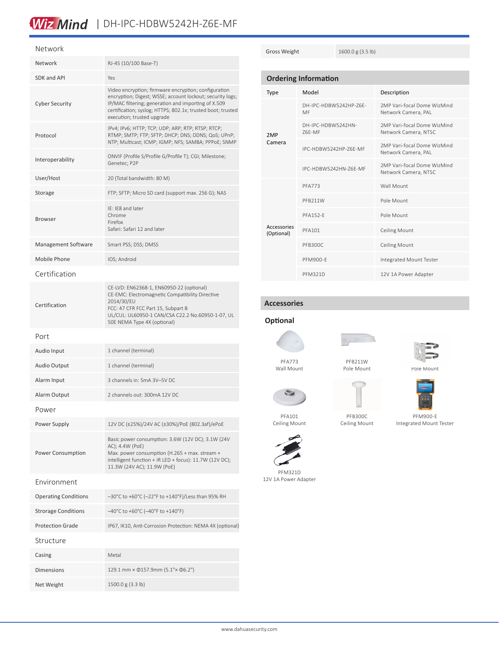### Wiz Mind | DH-IPC-HDBW5242H-Z6E-MF

### Network

| Network                     | RJ-45 (10/100 Base-T)                                                                                                                                                                                                                                                 |  |
|-----------------------------|-----------------------------------------------------------------------------------------------------------------------------------------------------------------------------------------------------------------------------------------------------------------------|--|
| SDK and API                 | Yes                                                                                                                                                                                                                                                                   |  |
| <b>Cyber Security</b>       | Video encryption; firmware encryption; configuration<br>encryption; Digest; WSSE; account lockout; security logs;<br>IP/MAC filtering; generation and importing of X.509<br>certification; syslog; HTTPS; 802.1x; trusted boot; trusted<br>execution; trusted upgrade |  |
| Protocol                    | IPv4; IPv6; HTTP; TCP; UDP; ARP; RTP; RTSP; RTCP;<br>RTMP; SMTP; FTP; SFTP; DHCP; DNS; DDNS; QoS; UPnP;<br>NTP; Multicast; ICMP; IGMP; NFS; SAMBA; PPPoE; SNMP                                                                                                        |  |
| Interoperability            | ONVIF (Profile S/Profile G/Profile T); CGI; Milestone;<br>Genetec: P2P                                                                                                                                                                                                |  |
| User/Host                   | 20 (Total bandwidth: 80 M)                                                                                                                                                                                                                                            |  |
| Storage                     | FTP; SFTP; Micro SD card (support max. 256 G); NAS                                                                                                                                                                                                                    |  |
| Browser                     | IE: IE8 and later<br>Chrome<br>Firefox<br>Safari: Safari 12 and later                                                                                                                                                                                                 |  |
| Management Software         | Smart PSS; DSS; DMSS                                                                                                                                                                                                                                                  |  |
| Mobile Phone                | IOS; Android                                                                                                                                                                                                                                                          |  |
| Certification               |                                                                                                                                                                                                                                                                       |  |
| Certification               | CE-LVD: EN62368-1, EN60950-22 (optional)<br>CE-EMC: Electromagnetic Compatibility Directive<br>2014/30/EU<br>FCC: 47 CFR FCC Part 15, Subpart B<br>UL/CUL: UL60950-1 CAN/CSA C22.2 No.60950-1-07, UL<br>50E NEMA Type 4X (optional)                                   |  |
| Port                        |                                                                                                                                                                                                                                                                       |  |
| Audio Input                 | 1 channel (terminal)                                                                                                                                                                                                                                                  |  |
| Audio Output                | 1 channel (terminal)                                                                                                                                                                                                                                                  |  |
| Alarm Input                 | 3 channels in: 5mA 3V-5V DC                                                                                                                                                                                                                                           |  |
| Alarm Output                | 2 channels out: 300mA 12V DC                                                                                                                                                                                                                                          |  |
| Power                       |                                                                                                                                                                                                                                                                       |  |
| Power Supply                | 12V DC (±25%)/24V AC (±30%)/PoE (802.3af)/ePoE                                                                                                                                                                                                                        |  |
| Power Consumption           | Basic power consumption: 3.6W (12V DC); 3.1W (24V<br>AC); 4.4W (PoE)<br>Max. power consumption (H.265 + max. stream +<br>intelligent function + IR LED + focus): 11.7W (12V DC);<br>11.3W (24V AC); 11.9W (PoE)                                                       |  |
| Fnvironment                 |                                                                                                                                                                                                                                                                       |  |
| <b>Operating Conditions</b> | -30°C to +60°C (-22°F to +140°F)/Less than 95% RH                                                                                                                                                                                                                     |  |
| <b>Strorage Conditions</b>  | $-40^{\circ}$ C to +60 $^{\circ}$ C (-40 $^{\circ}$ F to +140 $^{\circ}$ F)                                                                                                                                                                                           |  |
| <b>Protection Grade</b>     | IP67, IK10, Anti-Corrosion Protection: NEMA 4X (optional)                                                                                                                                                                                                             |  |
| Structure                   |                                                                                                                                                                                                                                                                       |  |
| Casing                      | Metal                                                                                                                                                                                                                                                                 |  |
| Dimensions                  | 129.1 mm × 0157.9mm (5.1"× 06.2")                                                                                                                                                                                                                                     |  |
| Net Weight                  | 1500.0 g (3.3 lb)                                                                                                                                                                                                                                                     |  |

Gross Weight 1600.0 g (3.5 lb)

| <b>Ordering Information</b> |                              |                                                     |  |  |
|-----------------------------|------------------------------|-----------------------------------------------------|--|--|
| Type                        | Model                        | Description                                         |  |  |
| 2MP<br>Camera               | DH-IPC-HDBW5242HP-76F-<br>MF | 2MP Vari-focal Dome WizMind<br>Network Camera, PAL  |  |  |
|                             | DH-IPC-HDBW5242HN-<br>76F-MF | 2MP Vari-focal Dome WizMind<br>Network Camera, NTSC |  |  |
|                             | IPC-HDBW5242HP-76F-MF        | 2MP Vari-focal Dome WizMind<br>Network Camera, PAL  |  |  |
|                             | IPC-HDBW5242HN-76F-MF        | 2MP Vari-focal Dome WizMind<br>Network Camera, NTSC |  |  |
| Accessories<br>(Optional)   | <b>PFA773</b>                | Wall Mount                                          |  |  |
|                             | PFB211W                      | Pole Mount                                          |  |  |
|                             | <b>PFA152-E</b>              | Pole Mount                                          |  |  |
|                             | <b>PFA101</b>                | <b>Ceiling Mount</b>                                |  |  |
|                             | PFB300C                      | <b>Ceiling Mount</b>                                |  |  |
|                             | <b>PFM900-F</b>              | Integrated Mount Tester                             |  |  |
|                             | <b>PFM321D</b>               | 12V 1A Power Adapter                                |  |  |

### **Accessories**

## **Optional**

Wall Mount

s



PFB211W Pole Mount



Pole Mount



PFM900-E Integrated Mount Tester

PFA101 Ceiling Mount

PFM321D 12V 1A Power Adapter

PFB300C Ceiling Mount